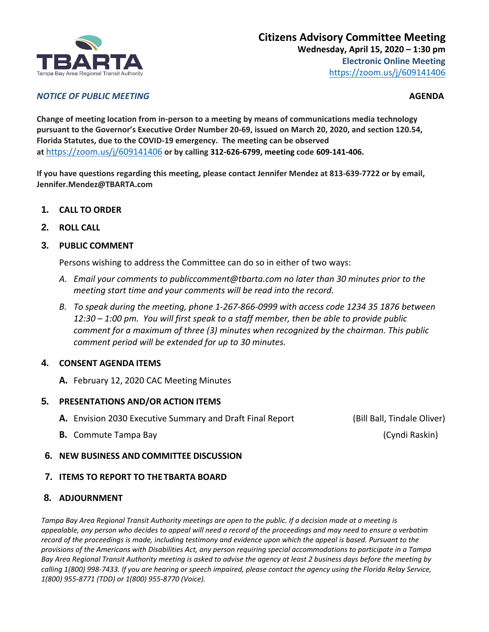

#### *NOTICE OF PUBLIC MEETING* **AGENDA**

**Change of meeting location from in-person to a meeting by means of communications media technology pursuant to the Governor's Executive Order Number 20-69, issued on March 20, 2020, and section 120.54, Florida Statutes, due to the COVID-19 emergency. The meeting can be observed at** <https://zoom.us/j/609141406> **or by calling 312-626-6799, meeting code 609-141-406.**

**If you have questions regarding this meeting, please contact Jennifer Mendez at 813-639-7722 or by email, Jennifer.Mendez@TBARTA.com**

- **1. CALL TO ORDER**
- **2. ROLL CALL**
- **3. PUBLIC COMMENT**

Persons wishing to address the Committee can do so in either of two ways:

- *A. Email your comments to publiccomment@tbarta.com no later than 30 minutes prior to the meeting start time and your comments will be read into the record.*
- *B. To speak during the meeting, phone 1-267-866-0999 with access code 1234 35 1876 between 12:30 – 1:00 pm. You will first speak to a staff member, then be able to provide public comment for a maximum of three (3) minutes when recognized by the chairman. This public comment period will be extended for up to 30 minutes.*

## **4. CONSENT AGENDA ITEMS**

**A.** February 12, 2020 CAC Meeting Minutes

#### **5. PRESENTATIONS AND/OR ACTION ITEMS**

- **A.** Envision 2030 Executive Summary and Draft Final Report (Bill Ball, Tindale Oliver)
- **B.** Commute Tampa Bay (Cyndi Raskin)

**6. NEW BUSINESS AND COMMITTEE DISCUSSION**

## **7. ITEMS TO REPORT TO THE TBARTA BOARD**

## **8. ADJOURNMENT**

*Tampa Bay Area Regional Transit Authority meetings are open to the public. If a decision made at a meeting is appealable, any person who decides to appeal will need a record of the proceedings and may need to ensure a verbatim record of the proceedings is made, including testimony and evidence upon which the appeal is based. Pursuant to the provisions of the Americans with Disabilities Act, any person requiring special accommodations to participate in a Tampa Bay Area Regional Transit Authority meeting is asked to advise the agency at least 2 business days before the meeting by calling 1(800) 998-7433. If you are hearing or speech impaired, please contact the agency using the Florida Relay Service, 1(800) 955-8771 (TDD) or 1(800) 955-8770 (Voice).*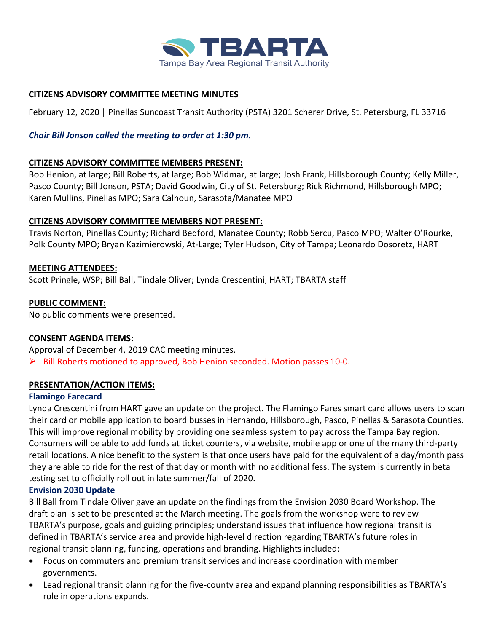

# **CITIZENS ADVISORY COMMITTEE MEETING MINUTES**

February 12, 2020 | Pinellas Suncoast Transit Authority (PSTA) 3201 Scherer Drive, St. Petersburg, FL 33716

# *Chair Bill Jonson called the meeting to order at 1:30 pm.*

## **CITIZENS ADVISORY COMMITTEE MEMBERS PRESENT:**

Bob Henion, at large; Bill Roberts, at large; Bob Widmar, at large; Josh Frank, Hillsborough County; Kelly Miller, Pasco County; Bill Jonson, PSTA; David Goodwin, City of St. Petersburg; Rick Richmond, Hillsborough MPO; Karen Mullins, Pinellas MPO; Sara Calhoun, Sarasota/Manatee MPO

## **CITIZENS ADVISORY COMMITTEE MEMBERS NOT PRESENT:**

Travis Norton, Pinellas County; Richard Bedford, Manatee County; Robb Sercu, Pasco MPO; Walter O'Rourke, Polk County MPO; Bryan Kazimierowski, At-Large; Tyler Hudson, City of Tampa; Leonardo Dosoretz, HART

## **MEETING ATTENDEES:**

Scott Pringle, WSP; Bill Ball, Tindale Oliver; Lynda Crescentini, HART; TBARTA staff

## **PUBLIC COMMENT:**

No public comments were presented.

# **CONSENT AGENDA ITEMS:**

Approval of December 4, 2019 CAC meeting minutes.  $\triangleright$  Bill Roberts motioned to approved, Bob Henion seconded. Motion passes 10-0.

## **PRESENTATION/ACTION ITEMS:**

## **Flamingo Farecard**

Lynda Crescentini from HART gave an update on the project. The Flamingo Fares smart card allows users to scan their card or mobile application to board busses in Hernando, Hillsborough, Pasco, Pinellas & Sarasota Counties. This will improve regional mobility by providing one seamless system to pay across the Tampa Bay region. Consumers will be able to add funds at ticket counters, via website, mobile app or one of the many third-party retail locations. A nice benefit to the system is that once users have paid for the equivalent of a day/month pass they are able to ride for the rest of that day or month with no additional fess. The system is currently in beta testing set to officially roll out in late summer/fall of 2020.

## **Envision 2030 Update**

Bill Ball from Tindale Oliver gave an update on the findings from the Envision 2030 Board Workshop. The draft plan is set to be presented at the March meeting. The goals from the workshop were to review TBARTA's purpose, goals and guiding principles; understand issues that influence how regional transit is defined in TBARTA's service area and provide high-level direction regarding TBARTA's future roles in regional transit planning, funding, operations and branding. Highlights included:

- Focus on commuters and premium transit services and increase coordination with member governments.
- Lead regional transit planning for the five-county area and expand planning responsibilities as TBARTA's role in operations expands.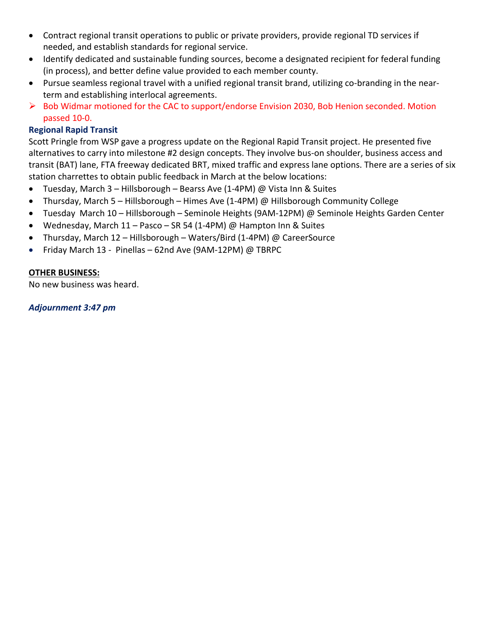- Contract regional transit operations to public or private providers, provide regional TD services if needed, and establish standards for regional service.
- Identify dedicated and sustainable funding sources, become a designated recipient for federal funding (in process), and better define value provided to each member county.
- Pursue seamless regional travel with a unified regional transit brand, utilizing co-branding in the nearterm and establishing interlocal agreements.
- ➢ Bob Widmar motioned for the CAC to support/endorse Envision 2030, Bob Henion seconded. Motion passed 10-0.

# **Regional Rapid Transit**

Scott Pringle from WSP gave a progress update on the Regional Rapid Transit project. He presented five alternatives to carry into milestone #2 design concepts. They involve bus-on shoulder, business access and transit (BAT) lane, FTA freeway dedicated BRT, mixed traffic and express lane options. There are a series of six station charrettes to obtain public feedback in March at the below locations:

- Tuesday, March 3 Hillsborough Bearss Ave (1-4PM) @ Vista Inn & Suites
- Thursday, March 5 Hillsborough Himes Ave (1-4PM) @ Hillsborough Community College
- Tuesday March 10 Hillsborough Seminole Heights (9AM-12PM) @ Seminole Heights Garden Center
- Wednesday, March 11 Pasco SR 54 (1-4PM) @ Hampton Inn & Suites
- Thursday, March 12 Hillsborough Waters/Bird (1-4PM) @ CareerSource
- Friday March 13 Pinellas 62nd Ave (9AM-12PM) @ TBRPC

## **OTHER BUSINESS:**

No new business was heard.

*Adjournment 3:47 pm*